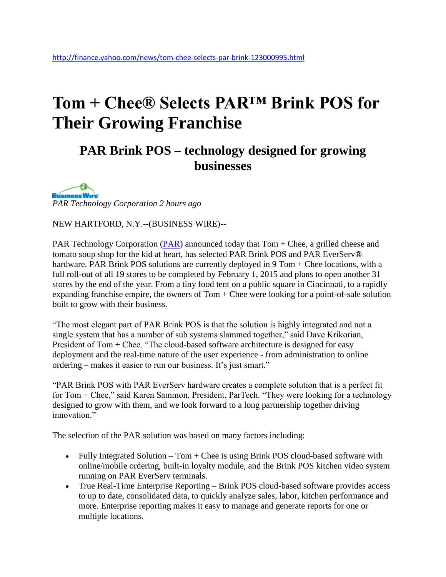# **Tom + Chee® Selects PAR™ Brink POS for Their Growing Franchise**

### **PAR Brink POS – technology designed for growing businesses**

**Business Wire** *PAR Technology Corporation 2 hours ago*

NEW HARTFORD, N.Y.--(BUSINESS WIRE)--

PAR Technology Corporation ( $\overline{PAR}$ ) announced today that Tom + Chee, a grilled cheese and tomato soup shop for the kid at heart, has selected PAR Brink POS and PAR EverServ**®** hardware. PAR Brink POS solutions are currently deployed in 9 Tom + Chee locations, with a full roll-out of all 19 stores to be completed by February 1, 2015 and plans to open another 31 stores by the end of the year. From a tiny food tent on a public square in Cincinnati, to a rapidly expanding franchise empire, the owners of  $Tom + Chee$  were looking for a point-of-sale solution built to grow with their business.

"The most elegant part of PAR Brink POS is that the solution is highly integrated and not a single system that has a number of sub systems slammed together," said Dave Krikorian, President of Tom + Chee. "The cloud-based software architecture is designed for easy deployment and the real-time nature of the user experience - from administration to online ordering – makes it easier to run our business. It's just smart."

"PAR Brink POS with PAR EverServ hardware creates a complete solution that is a perfect fit for Tom + Chee," said Karen Sammon, President, ParTech. "They were looking for a technology designed to grow with them, and we look forward to a long partnership together driving innovation<sup>"</sup>

The selection of the PAR solution was based on many factors including:

- Fully Integrated Solution Tom + Chee is using Brink POS cloud-based software with online/mobile ordering, built-in loyalty module, and the Brink POS kitchen video system running on PAR EverServ terminals.
- True Real-Time Enterprise Reporting Brink POS cloud-based software provides access to up to date, consolidated data, to quickly analyze sales, labor, kitchen performance and more. Enterprise reporting makes it easy to manage and generate reports for one or multiple locations.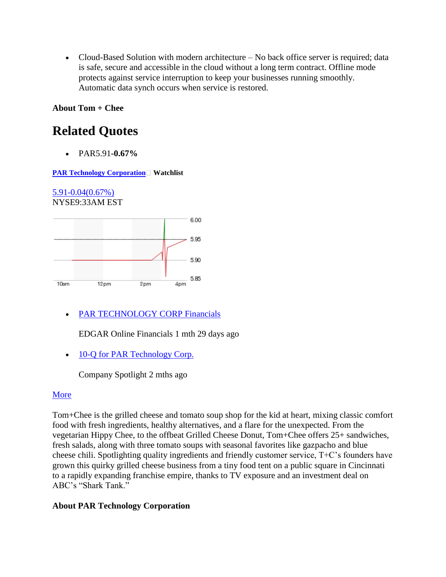• Cloud-Based Solution with modern architecture – No back office server is required; data is safe, secure and accessible in the cloud without a long term contract. Offline mode protects against service interruption to keep your businesses running smoothly. Automatic data synch occurs when service is restored.

**About Tom + Chee**

## **Related Quotes**

PAR5.91**-0.67%**

**[PAR Technology Corporation](http://finance.yahoo.com/q?s=PAR)** Watchlist

[5.91-0.04\(0.67%\)](http://finance.yahoo.com/q?s=PAR) NYSE9:33AM EST



[PAR TECHNOLOGY CORP Financials](http://finance.yahoo.com/q/is?s=par)

EDGAR Online Financials 1 mth 29 days ago

• [10-Q for PAR Technology Corp.](http://www.companyspotlight.com/routers/headline/52861/10004/6423571?cp_code=YAH1&1416182936)

Company Spotlight 2 mths ago

### [More](http://finance.yahoo.com/q/h?s=PAR)

Tom+Chee is the grilled cheese and tomato soup shop for the kid at heart, mixing classic comfort food with fresh ingredients, healthy alternatives, and a flare for the unexpected. From the vegetarian Hippy Chee, to the offbeat Grilled Cheese Donut, Tom+Chee offers 25+ sandwiches, fresh salads, along with three tomato soups with seasonal favorites like gazpacho and blue cheese chili. Spotlighting quality ingredients and friendly customer service, T+C's founders have grown this quirky grilled cheese business from a tiny food tent on a public square in Cincinnati to a rapidly expanding franchise empire, thanks to TV exposure and an investment deal on ABC's "Shark Tank."

#### **About PAR Technology Corporation**